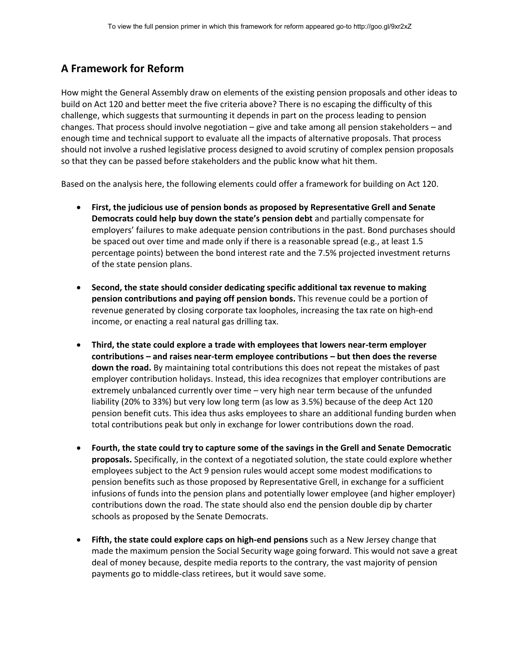## **A Framework for Reform**

How might the General Assembly draw on elements of the existing pension proposals and other ideas to build on Act 120 and better meet the five criteria above? There is no escaping the difficulty of this challenge, which suggests that surmounting it depends in part on the process leading to pension changes. That process should involve negotiation – give and take among all pension stakeholders – and enough time and technical support to evaluate all the impacts of alternative proposals. That process should not involve a rushed legislative process designed to avoid scrutiny of complex pension proposals so that they can be passed before stakeholders and the public know what hit them.

Based on the analysis here, the following elements could offer a framework for building on Act 120.

- **First, the judicious use of pension bonds as proposed by Representative Grell and Senate Democrats could help buy down the state's pension debt** and partially compensate for employers' failures to make adequate pension contributions in the past. Bond purchases should be spaced out over time and made only if there is a reasonable spread (e.g., at least 1.5 percentage points) between the bond interest rate and the 7.5% projected investment returns of the state pension plans.
- **Second, the state should consider dedicating specific additional tax revenue to making pension contributions and paying off pension bonds.** This revenue could be a portion of revenue generated by closing corporate tax loopholes, increasing the tax rate on high-end income, or enacting a real natural gas drilling tax.
- **Third, the state could explore a trade with employees that lowers near-term employer contributions – and raises near-term employee contributions – but then does the reverse down the road.** By maintaining total contributions this does not repeat the mistakes of past employer contribution holidays. Instead, this idea recognizes that employer contributions are extremely unbalanced currently over time – very high near term because of the unfunded liability (20% to 33%) but very low long term (as low as 3.5%) because of the deep Act 120 pension benefit cuts. This idea thus asks employees to share an additional funding burden when total contributions peak but only in exchange for lower contributions down the road.
- **Fourth, the state could try to capture some of the savings in the Grell and Senate Democratic proposals.** Specifically, in the context of a negotiated solution, the state could explore whether employees subject to the Act 9 pension rules would accept some modest modifications to pension benefits such as those proposed by Representative Grell, in exchange for a sufficient infusions of funds into the pension plans and potentially lower employee (and higher employer) contributions down the road. The state should also end the pension double dip by charter schools as proposed by the Senate Democrats.
- **Fifth, the state could explore caps on high-end pensions** such as a New Jersey change that made the maximum pension the Social Security wage going forward. This would not save a great deal of money because, despite media reports to the contrary, the vast majority of pension payments go to middle-class retirees, but it would save some.